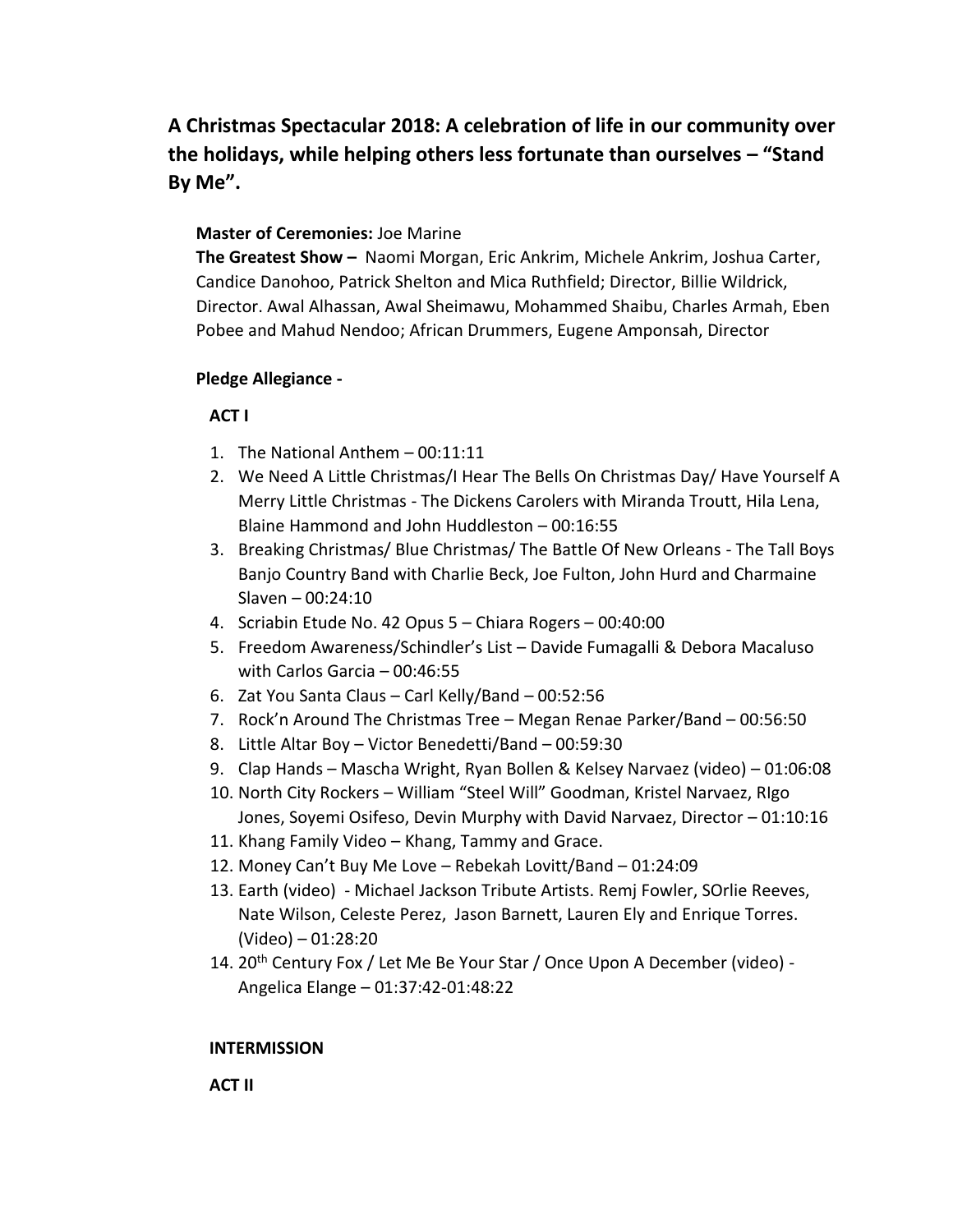**A Christmas Spectacular 2018: A celebration of life in our community over the holidays, while helping others less fortunate than ourselves – "Stand By Me".**

## **Master of Ceremonies:** Joe Marine

**The Greatest Show –** Naomi Morgan, Eric Ankrim, Michele Ankrim, Joshua Carter, Candice Danohoo, Patrick Shelton and Mica Ruthfield; Director, Billie Wildrick, Director. Awal Alhassan, Awal Sheimawu, Mohammed Shaibu, Charles Armah, Eben Pobee and Mahud Nendoo; African Drummers, Eugene Amponsah, Director

## **Pledge Allegiance -**

## **ACT I**

- 1. The National Anthem 00:11:11
- 2. We Need A Little Christmas/I Hear The Bells On Christmas Day/ Have Yourself A Merry Little Christmas - The Dickens Carolers with Miranda Troutt, Hila Lena, Blaine Hammond and John Huddleston – 00:16:55
- 3. Breaking Christmas/ Blue Christmas/ The Battle Of New Orleans The Tall Boys Banjo Country Band with Charlie Beck, Joe Fulton, John Hurd and Charmaine Slaven – 00:24:10
- 4. Scriabin Etude No. 42 Opus 5 Chiara Rogers 00:40:00
- 5. Freedom Awareness/Schindler's List Davide Fumagalli & Debora Macaluso with Carlos Garcia – 00:46:55
- 6. Zat You Santa Claus Carl Kelly/Band 00:52:56
- 7. Rock'n Around The Christmas Tree Megan Renae Parker/Band 00:56:50
- 8. Little Altar Boy Victor Benedetti/Band 00:59:30
- 9. Clap Hands Mascha Wright, Ryan Bollen & Kelsey Narvaez (video) 01:06:08
- 10. North City Rockers William "Steel Will" Goodman, Kristel Narvaez, RIgo Jones, Soyemi Osifeso, Devin Murphy with David Narvaez, Director – 01:10:16
- 11. Khang Family Video Khang, Tammy and Grace.
- 12. Money Can't Buy Me Love Rebekah Lovitt/Band 01:24:09
- 13. Earth (video) Michael Jackson Tribute Artists. Remj Fowler, SOrlie Reeves, Nate Wilson, Celeste Perez, Jason Barnett, Lauren Ely and Enrique Torres. (Video) – 01:28:20
- 14. 20<sup>th</sup> Century Fox / Let Me Be Your Star / Once Upon A December (video) -Angelica Elange – 01:37:42-01:48:22

## **INTERMISSION**

 **ACT II**